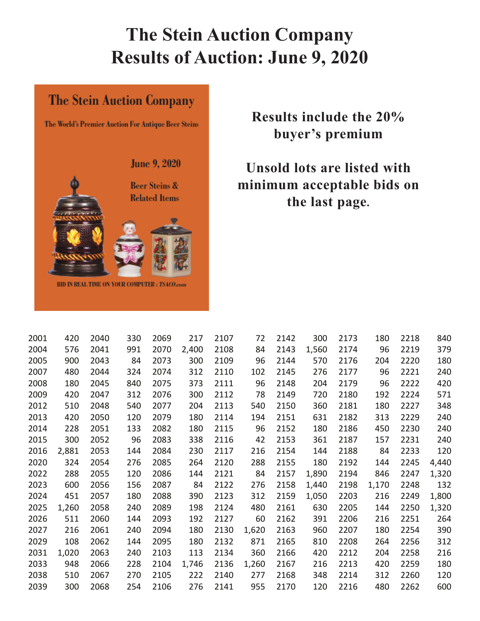# **The Stein Auction Company Results of Auction: June 9, 2020**

#### **The Stein Auction Company**

The World's Premier Auction For Antique Beer Steins

**June 9, 2020 Beer Steins & Related Items** BID IN REAL TIME ON YOUR COMPUTER : TSACO.com

## **Results include the 20% buyer's premium**

## **Unsold lots are listed with minimum acceptable bids on the last page.**

| 2001 | 420   | 2040 | 330 | 2069 | 217   | 2107 | 72    | 2142 | 300   | 2173 | 180   | 2218 | 840   |
|------|-------|------|-----|------|-------|------|-------|------|-------|------|-------|------|-------|
| 2004 | 576   | 2041 | 991 | 2070 | 2,400 | 2108 | 84    | 2143 | 1,560 | 2174 | 96    | 2219 | 379   |
| 2005 | 900   | 2043 | 84  | 2073 | 300   | 2109 | 96    | 2144 | 570   | 2176 | 204   | 2220 | 180   |
| 2007 | 480   | 2044 | 324 | 2074 | 312   | 2110 | 102   | 2145 | 276   | 2177 | 96    | 2221 | 240   |
| 2008 | 180   | 2045 | 840 | 2075 | 373   | 2111 | 96    | 2148 | 204   | 2179 | 96    | 2222 | 420   |
| 2009 | 420   | 2047 | 312 | 2076 | 300   | 2112 | 78    | 2149 | 720   | 2180 | 192   | 2224 | 571   |
| 2012 | 510   | 2048 | 540 | 2077 | 204   | 2113 | 540   | 2150 | 360   | 2181 | 180   | 2227 | 348   |
| 2013 | 420   | 2050 | 120 | 2079 | 180   | 2114 | 194   | 2151 | 631   | 2182 | 313   | 2229 | 240   |
| 2014 | 228   | 2051 | 133 | 2082 | 180   | 2115 | 96    | 2152 | 180   | 2186 | 450   | 2230 | 240   |
| 2015 | 300   | 2052 | 96  | 2083 | 338   | 2116 | 42    | 2153 | 361   | 2187 | 157   | 2231 | 240   |
| 2016 | 2,881 | 2053 | 144 | 2084 | 230   | 2117 | 216   | 2154 | 144   | 2188 | 84    | 2233 | 120   |
| 2020 | 324   | 2054 | 276 | 2085 | 264   | 2120 | 288   | 2155 | 180   | 2192 | 144   | 2245 | 4,440 |
| 2022 | 288   | 2055 | 120 | 2086 | 144   | 2121 | 84    | 2157 | 1,890 | 2194 | 846   | 2247 | 1,320 |
| 2023 | 600   | 2056 | 156 | 2087 | 84    | 2122 | 276   | 2158 | 1,440 | 2198 | 1,170 | 2248 | 132   |
| 2024 | 451   | 2057 | 180 | 2088 | 390   | 2123 | 312   | 2159 | 1,050 | 2203 | 216   | 2249 | 1,800 |
| 2025 | 1,260 | 2058 | 240 | 2089 | 198   | 2124 | 480   | 2161 | 630   | 2205 | 144   | 2250 | 1,320 |
| 2026 | 511   | 2060 | 144 | 2093 | 192   | 2127 | 60    | 2162 | 391   | 2206 | 216   | 2251 | 264   |
| 2027 | 216   | 2061 | 240 | 2094 | 180   | 2130 | 1,620 | 2163 | 960   | 2207 | 180   | 2254 | 390   |
| 2029 | 108   | 2062 | 144 | 2095 | 180   | 2132 | 871   | 2165 | 810   | 2208 | 264   | 2256 | 312   |
| 2031 | 1,020 | 2063 | 240 | 2103 | 113   | 2134 | 360   | 2166 | 420   | 2212 | 204   | 2258 | 216   |
| 2033 | 948   | 2066 | 228 | 2104 | 1,746 | 2136 | 1,260 | 2167 | 216   | 2213 | 420   | 2259 | 180   |
| 2038 | 510   | 2067 | 270 | 2105 | 222   | 2140 | 277   | 2168 | 348   | 2214 | 312   | 2260 | 120   |
| 2039 | 300   | 2068 | 254 | 2106 | 276   | 2141 | 955   | 2170 | 120   | 2216 | 480   | 2262 | 600   |
|      |       |      |     |      |       |      |       |      |       |      |       |      |       |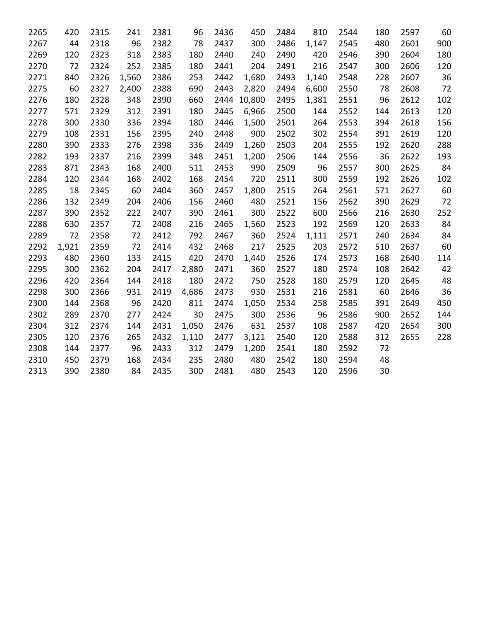| 2265 | 420   | 2315 | 241   | 2381 | 96    | 2436 | 450         | 2484 | 810   | 2544 | 180 | 2597 | 60  |
|------|-------|------|-------|------|-------|------|-------------|------|-------|------|-----|------|-----|
| 2267 | 44    | 2318 | 96    | 2382 | 78    | 2437 | 300         | 2486 | 1,147 | 2545 | 480 | 2601 | 900 |
| 2269 | 120   | 2323 | 318   | 2383 | 180   | 2440 | 240         | 2490 | 420   | 2546 | 390 | 2604 | 180 |
| 2270 | 72    | 2324 | 252   | 2385 | 180   | 2441 | 204         | 2491 | 216   | 2547 | 300 | 2606 | 120 |
| 2271 | 840   | 2326 | 1,560 | 2386 | 253   | 2442 | 1,680       | 2493 | 1,140 | 2548 | 228 | 2607 | 36  |
| 2275 | 60    | 2327 | 2,400 | 2388 | 690   | 2443 | 2,820       | 2494 | 6,600 | 2550 | 78  | 2608 | 72  |
| 2276 | 180   | 2328 | 348   | 2390 | 660   |      | 2444 10,800 | 2495 | 1,381 | 2551 | 96  | 2612 | 102 |
| 2277 | 571   | 2329 | 312   | 2391 | 180   | 2445 | 6,966       | 2500 | 144   | 2552 | 144 | 2613 | 120 |
| 2278 | 300   | 2330 | 336   | 2394 | 180   | 2446 | 1,500       | 2501 | 264   | 2553 | 394 | 2618 | 156 |
| 2279 | 108   | 2331 | 156   | 2395 | 240   | 2448 | 900         | 2502 | 302   | 2554 | 391 | 2619 | 120 |
| 2280 | 390   | 2333 | 276   | 2398 | 336   | 2449 | 1,260       | 2503 | 204   | 2555 | 192 | 2620 | 288 |
| 2282 | 193   | 2337 | 216   | 2399 | 348   | 2451 | 1,200       | 2506 | 144   | 2556 | 36  | 2622 | 193 |
| 2283 | 871   | 2343 | 168   | 2400 | 511   | 2453 | 990         | 2509 | 96    | 2557 | 300 | 2625 | 84  |
| 2284 | 120   | 2344 | 168   | 2402 | 168   | 2454 | 720         | 2511 | 300   | 2559 | 192 | 2626 | 102 |
| 2285 | 18    | 2345 | 60    | 2404 | 360   | 2457 | 1,800       | 2515 | 264   | 2561 | 571 | 2627 | 60  |
| 2286 | 132   | 2349 | 204   | 2406 | 156   | 2460 | 480         | 2521 | 156   | 2562 | 390 | 2629 | 72  |
| 2287 | 390   | 2352 | 222   | 2407 | 390   | 2461 | 300         | 2522 | 600   | 2566 | 216 | 2630 | 252 |
| 2288 | 630   | 2357 | 72    | 2408 | 216   | 2465 | 1,560       | 2523 | 192   | 2569 | 120 | 2633 | 84  |
| 2289 | 72    | 2358 | 72    | 2412 | 792   | 2467 | 360         | 2524 | 1,111 | 2571 | 240 | 2634 | 84  |
| 2292 | 1,921 | 2359 | 72    | 2414 | 432   | 2468 | 217         | 2525 | 203   | 2572 | 510 | 2637 | 60  |
| 2293 | 480   | 2360 | 133   | 2415 | 420   | 2470 | 1,440       | 2526 | 174   | 2573 | 168 | 2640 | 114 |
| 2295 | 300   | 2362 | 204   | 2417 | 2,880 | 2471 | 360         | 2527 | 180   | 2574 | 108 | 2642 | 42  |
| 2296 | 420   | 2364 | 144   | 2418 | 180   | 2472 | 750         | 2528 | 180   | 2579 | 120 | 2645 | 48  |
| 2298 | 300   | 2366 | 931   | 2419 | 4,686 | 2473 | 930         | 2531 | 216   | 2581 | 60  | 2646 | 36  |
| 2300 | 144   | 2368 | 96    | 2420 | 811   | 2474 | 1,050       | 2534 | 258   | 2585 | 391 | 2649 | 450 |
| 2302 | 289   | 2370 | 277   | 2424 | 30    | 2475 | 300         | 2536 | 96    | 2586 | 900 | 2652 | 144 |
| 2304 | 312   | 2374 | 144   | 2431 | 1,050 | 2476 | 631         | 2537 | 108   | 2587 | 420 | 2654 | 300 |
| 2305 | 120   | 2376 | 265   | 2432 | 1,110 | 2477 | 3,121       | 2540 | 120   | 2588 | 312 | 2655 | 228 |
| 2308 | 144   | 2377 | 96    | 2433 | 312   | 2479 | 1,200       | 2541 | 180   | 2592 | 72  |      |     |
| 2310 | 450   | 2379 | 168   | 2434 | 235   | 2480 | 480         | 2542 | 180   | 2594 | 48  |      |     |
| 2313 | 390   | 2380 | 84    | 2435 | 300   | 2481 | 480         | 2543 | 120   | 2596 | 30  |      |     |